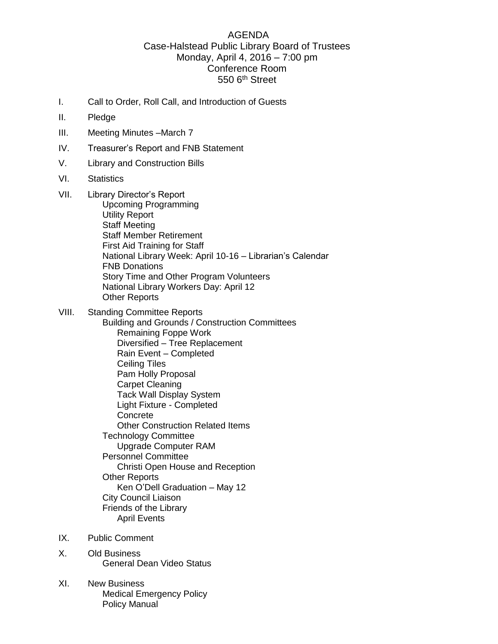## AGENDA Case-Halstead Public Library Board of Trustees Monday, April 4, 2016 – 7:00 pm Conference Room 550 6<sup>th</sup> Street

- I. Call to Order, Roll Call, and Introduction of Guests
- II. Pledge
- III. Meeting Minutes –March 7
- IV. Treasurer's Report and FNB Statement
- V. Library and Construction Bills
- VI. Statistics
- VII. Library Director's Report Upcoming Programming Utility Report Staff Meeting Staff Member Retirement First Aid Training for Staff National Library Week: April 10-16 – Librarian's Calendar FNB Donations Story Time and Other Program Volunteers National Library Workers Day: April 12 Other Reports
- VIII. Standing Committee Reports Building and Grounds / Construction Committees Remaining Foppe Work Diversified – Tree Replacement Rain Event – Completed Ceiling Tiles Pam Holly Proposal Carpet Cleaning Tack Wall Display System Light Fixture - Completed **Concrete** Other Construction Related Items Technology Committee Upgrade Computer RAM Personnel Committee Christi Open House and Reception Other Reports Ken O'Dell Graduation – May 12 City Council Liaison Friends of the Library April Events
- IX. Public Comment
- X. Old Business General Dean Video Status
- XI. New Business Medical Emergency Policy Policy Manual